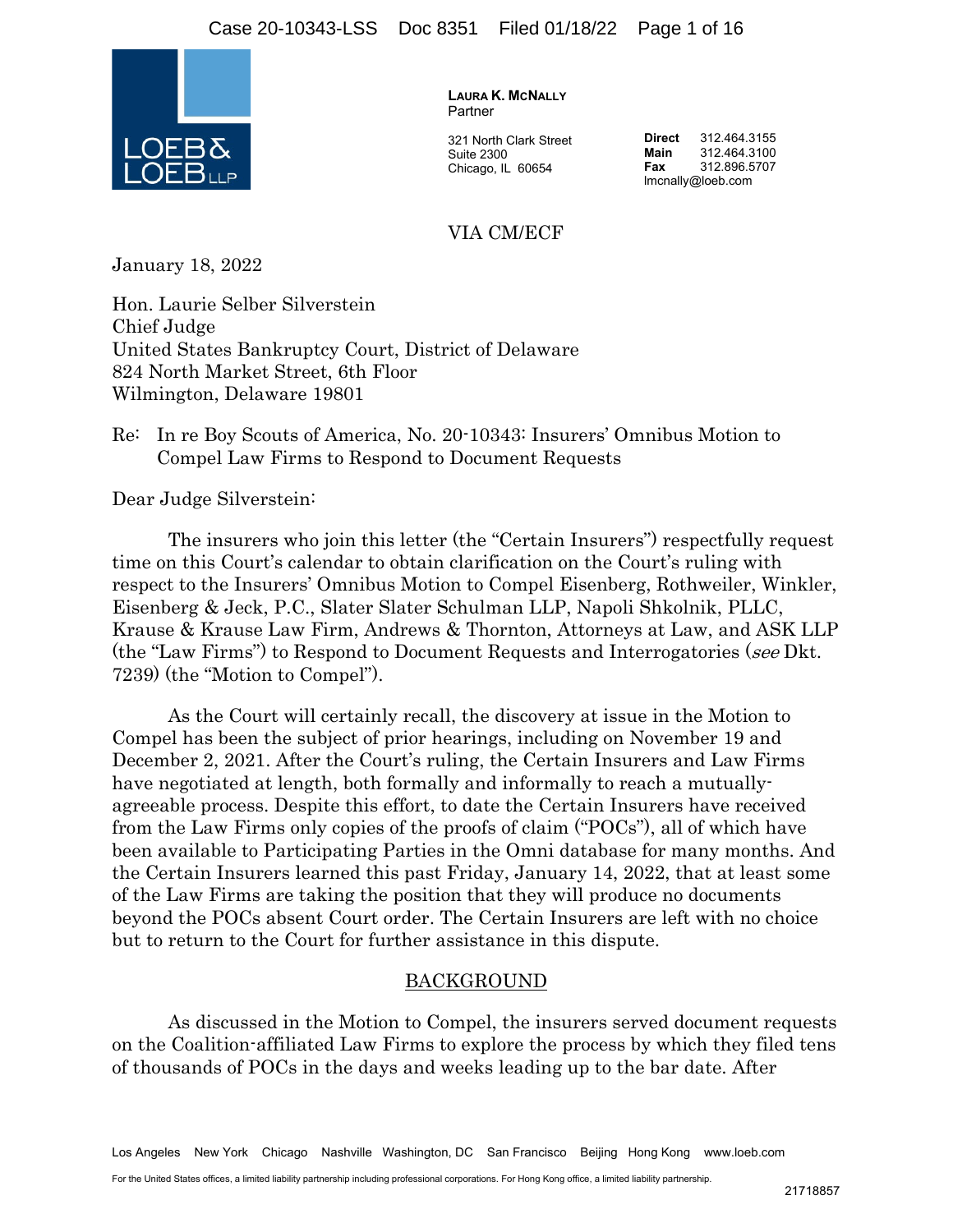

**LAURA K. MCNALLY** Partner

321 North Clark Street Suite 2300 Chicago, IL 60654

**Direct** 312.464.3155<br>**Main** 312.464.3100 **Main** 312.464.3100 **Fax** 312.896.5707 lmcnally@loeb.com

### VIA CM/ECF

January 18, 2022

Hon. Laurie Selber Silverstein Chief Judge United States Bankruptcy Court, District of Delaware 824 North Market Street, 6th Floor Wilmington, Delaware 19801

### Re: In re Boy Scouts of America, No. 20-10343: Insurers' Omnibus Motion to Compel Law Firms to Respond to Document Requests

Dear Judge Silverstein:

 The insurers who join this letter (the "Certain Insurers") respectfully request time on this Court's calendar to obtain clarification on the Court's ruling with respect to the Insurers' Omnibus Motion to Compel Eisenberg, Rothweiler, Winkler, Eisenberg & Jeck, P.C., Slater Slater Schulman LLP, Napoli Shkolnik, PLLC, Krause & Krause Law Firm, Andrews & Thornton, Attorneys at Law, and ASK LLP (the "Law Firms") to Respond to Document Requests and Interrogatories (see Dkt. 7239) (the "Motion to Compel").

As the Court will certainly recall, the discovery at issue in the Motion to Compel has been the subject of prior hearings, including on November 19 and December 2, 2021. After the Court's ruling, the Certain Insurers and Law Firms have negotiated at length, both formally and informally to reach a mutuallyagreeable process. Despite this effort, to date the Certain Insurers have received from the Law Firms only copies of the proofs of claim ("POCs"), all of which have been available to Participating Parties in the Omni database for many months. And the Certain Insurers learned this past Friday, January 14, 2022, that at least some of the Law Firms are taking the position that they will produce no documents beyond the POCs absent Court order. The Certain Insurers are left with no choice but to return to the Court for further assistance in this dispute.

#### BACKGROUND

As discussed in the Motion to Compel, the insurers served document requests on the Coalition-affiliated Law Firms to explore the process by which they filed tens of thousands of POCs in the days and weeks leading up to the bar date. After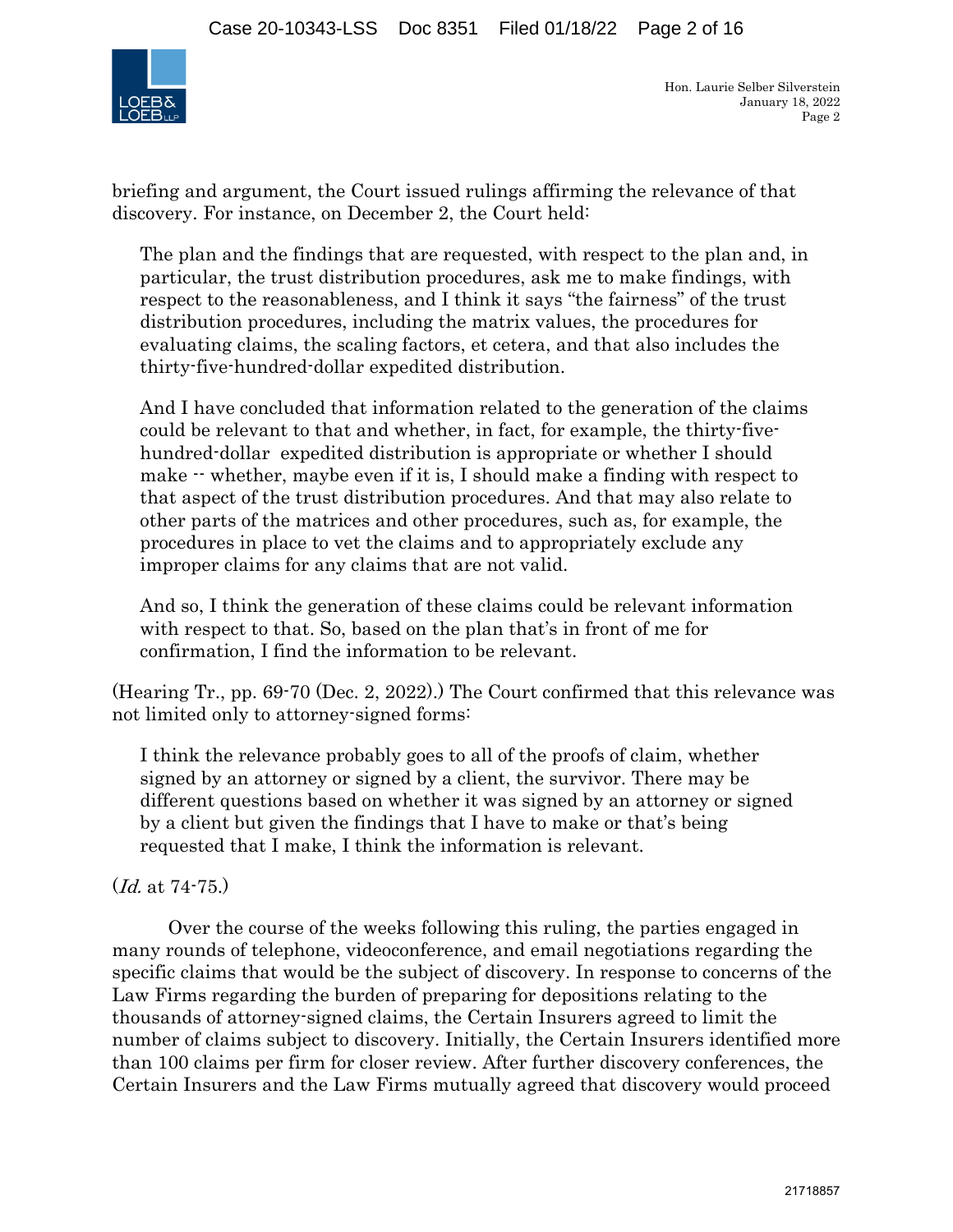

briefing and argument, the Court issued rulings affirming the relevance of that discovery. For instance, on December 2, the Court held:

The plan and the findings that are requested, with respect to the plan and, in particular, the trust distribution procedures, ask me to make findings, with respect to the reasonableness, and I think it says "the fairness" of the trust distribution procedures, including the matrix values, the procedures for evaluating claims, the scaling factors, et cetera, and that also includes the thirty-five-hundred-dollar expedited distribution.

And I have concluded that information related to the generation of the claims could be relevant to that and whether, in fact, for example, the thirty-fivehundred-dollar expedited distribution is appropriate or whether I should make  $\cdot\cdot$  whether, maybe even if it is, I should make a finding with respect to that aspect of the trust distribution procedures. And that may also relate to other parts of the matrices and other procedures, such as, for example, the procedures in place to vet the claims and to appropriately exclude any improper claims for any claims that are not valid.

And so, I think the generation of these claims could be relevant information with respect to that. So, based on the plan that's in front of me for confirmation, I find the information to be relevant.

(Hearing Tr., pp. 69-70 (Dec. 2, 2022).) The Court confirmed that this relevance was not limited only to attorney-signed forms:

I think the relevance probably goes to all of the proofs of claim, whether signed by an attorney or signed by a client, the survivor. There may be different questions based on whether it was signed by an attorney or signed by a client but given the findings that I have to make or that's being requested that I make, I think the information is relevant.

## (Id. at 74-75.)

 Over the course of the weeks following this ruling, the parties engaged in many rounds of telephone, videoconference, and email negotiations regarding the specific claims that would be the subject of discovery. In response to concerns of the Law Firms regarding the burden of preparing for depositions relating to the thousands of attorney-signed claims, the Certain Insurers agreed to limit the number of claims subject to discovery. Initially, the Certain Insurers identified more than 100 claims per firm for closer review. After further discovery conferences, the Certain Insurers and the Law Firms mutually agreed that discovery would proceed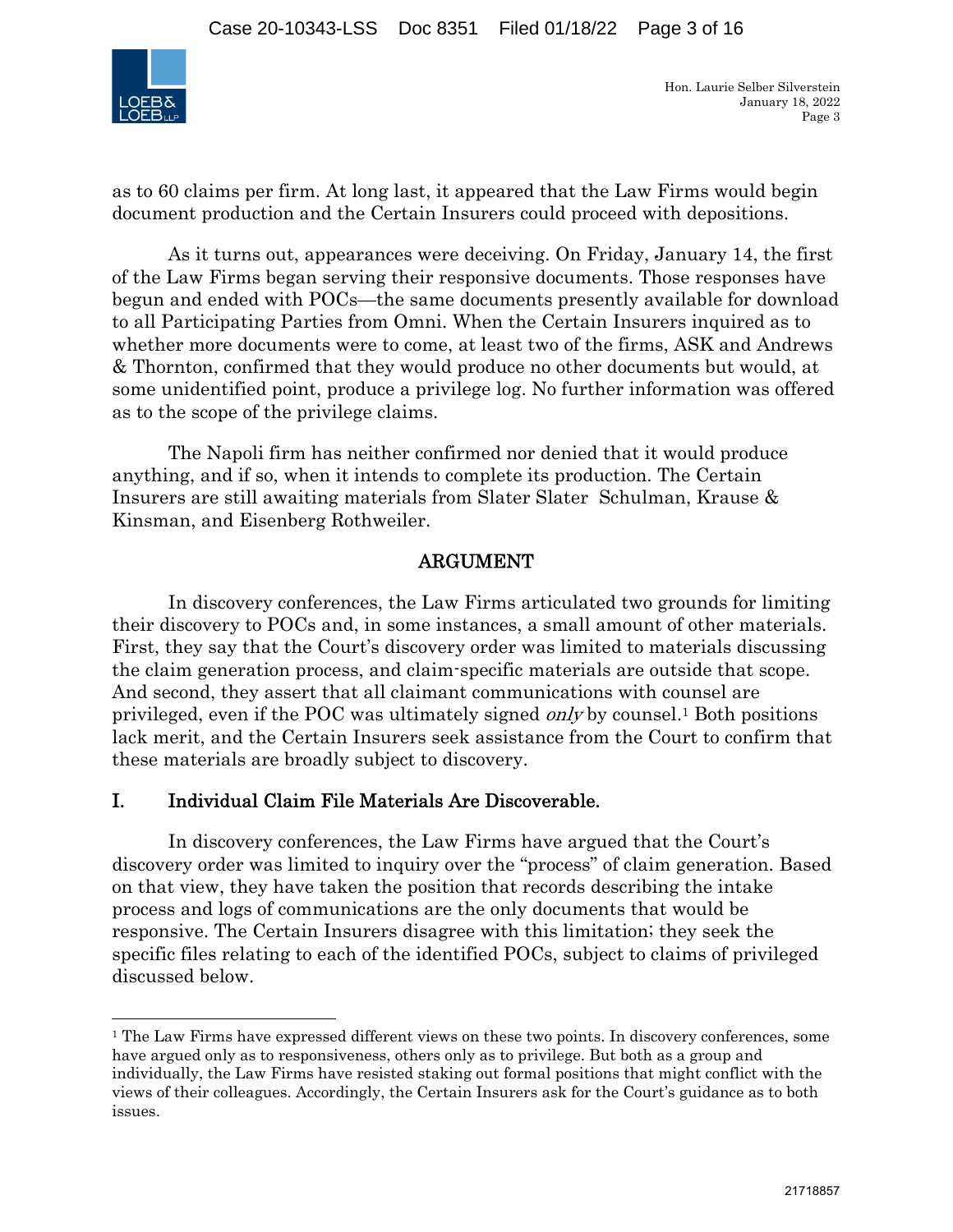

as to 60 claims per firm. At long last, it appeared that the Law Firms would begin document production and the Certain Insurers could proceed with depositions.

 As it turns out, appearances were deceiving. On Friday, January 14, the first of the Law Firms began serving their responsive documents. Those responses have begun and ended with POCs—the same documents presently available for download to all Participating Parties from Omni. When the Certain Insurers inquired as to whether more documents were to come, at least two of the firms, ASK and Andrews & Thornton, confirmed that they would produce no other documents but would, at some unidentified point, produce a privilege log. No further information was offered as to the scope of the privilege claims.

The Napoli firm has neither confirmed nor denied that it would produce anything, and if so, when it intends to complete its production. The Certain Insurers are still awaiting materials from Slater Slater Schulman, Krause & Kinsman, and Eisenberg Rothweiler.

## ARGUMENT

 In discovery conferences, the Law Firms articulated two grounds for limiting their discovery to POCs and, in some instances, a small amount of other materials. First, they say that the Court's discovery order was limited to materials discussing the claim generation process, and claim-specific materials are outside that scope. And second, they assert that all claimant communications with counsel are privileged, even if the POC was ultimately signed only by counsel.1 Both positions lack merit, and the Certain Insurers seek assistance from the Court to confirm that these materials are broadly subject to discovery.

## I. Individual Claim File Materials Are Discoverable.

 In discovery conferences, the Law Firms have argued that the Court's discovery order was limited to inquiry over the "process" of claim generation. Based on that view, they have taken the position that records describing the intake process and logs of communications are the only documents that would be responsive. The Certain Insurers disagree with this limitation; they seek the specific files relating to each of the identified POCs, subject to claims of privileged discussed below.

<sup>&</sup>lt;sup>1</sup> The Law Firms have expressed different views on these two points. In discovery conferences, some have argued only as to responsiveness, others only as to privilege. But both as a group and individually, the Law Firms have resisted staking out formal positions that might conflict with the views of their colleagues. Accordingly, the Certain Insurers ask for the Court's guidance as to both issues.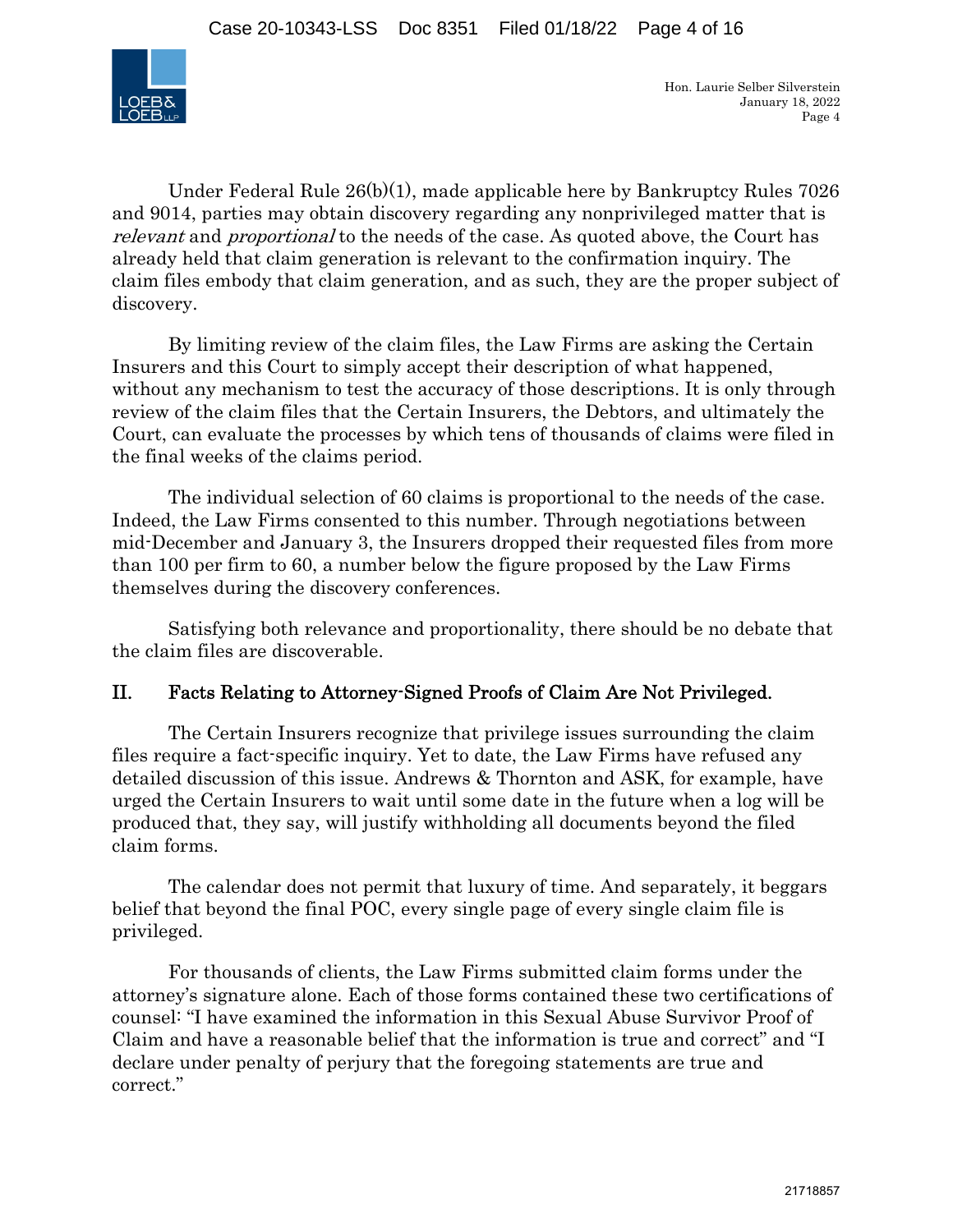

Under Federal Rule 26(b)(1), made applicable here by Bankruptcy Rules 7026 and 9014, parties may obtain discovery regarding any nonprivileged matter that is relevant and *proportional* to the needs of the case. As quoted above, the Court has already held that claim generation is relevant to the confirmation inquiry. The claim files embody that claim generation, and as such, they are the proper subject of discovery.

By limiting review of the claim files, the Law Firms are asking the Certain Insurers and this Court to simply accept their description of what happened, without any mechanism to test the accuracy of those descriptions. It is only through review of the claim files that the Certain Insurers, the Debtors, and ultimately the Court, can evaluate the processes by which tens of thousands of claims were filed in the final weeks of the claims period.

The individual selection of 60 claims is proportional to the needs of the case. Indeed, the Law Firms consented to this number. Through negotiations between mid-December and January 3, the Insurers dropped their requested files from more than 100 per firm to 60, a number below the figure proposed by the Law Firms themselves during the discovery conferences.

Satisfying both relevance and proportionality, there should be no debate that the claim files are discoverable.

# II. Facts Relating to Attorney-Signed Proofs of Claim Are Not Privileged.

 The Certain Insurers recognize that privilege issues surrounding the claim files require a fact-specific inquiry. Yet to date, the Law Firms have refused any detailed discussion of this issue. Andrews & Thornton and ASK, for example, have urged the Certain Insurers to wait until some date in the future when a log will be produced that, they say, will justify withholding all documents beyond the filed claim forms.

 The calendar does not permit that luxury of time. And separately, it beggars belief that beyond the final POC, every single page of every single claim file is privileged.

 For thousands of clients, the Law Firms submitted claim forms under the attorney's signature alone. Each of those forms contained these two certifications of counsel: "I have examined the information in this Sexual Abuse Survivor Proof of Claim and have a reasonable belief that the information is true and correct" and "I declare under penalty of perjury that the foregoing statements are true and correct."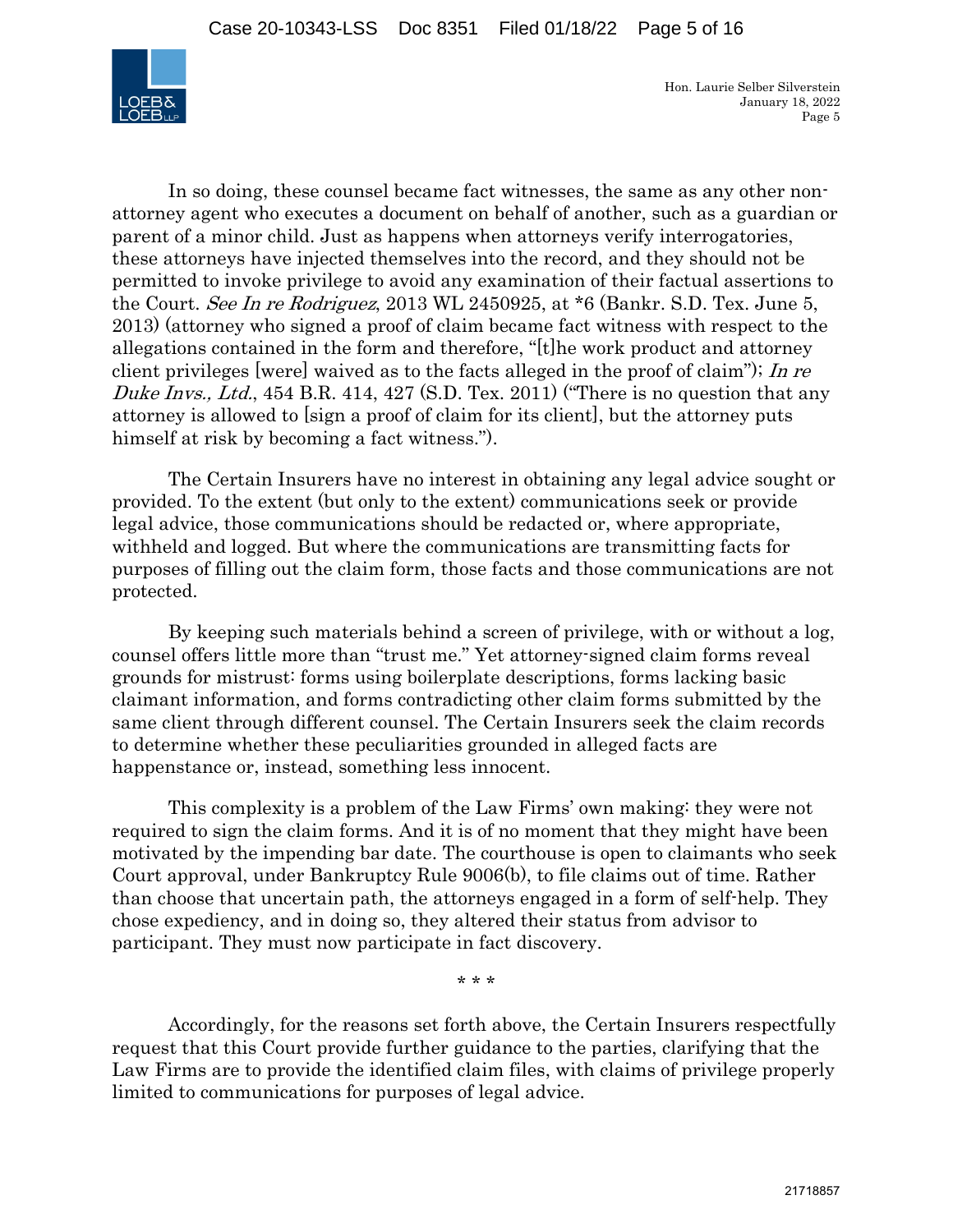

In so doing, these counsel became fact witnesses, the same as any other nonattorney agent who executes a document on behalf of another, such as a guardian or parent of a minor child. Just as happens when attorneys verify interrogatories, these attorneys have injected themselves into the record, and they should not be permitted to invoke privilege to avoid any examination of their factual assertions to the Court. See In re Rodriguez, 2013 WL 2450925, at \*6 (Bankr. S.D. Tex. June 5, 2013) (attorney who signed a proof of claim became fact witness with respect to the allegations contained in the form and therefore, "[t]he work product and attorney client privileges [were] waived as to the facts alleged in the proof of claim"); In re Duke Invs., Ltd., 454 B.R. 414, 427 (S.D. Tex. 2011) ("There is no question that any attorney is allowed to [sign a proof of claim for its client], but the attorney puts himself at risk by becoming a fact witness.").

 The Certain Insurers have no interest in obtaining any legal advice sought or provided. To the extent (but only to the extent) communications seek or provide legal advice, those communications should be redacted or, where appropriate, withheld and logged. But where the communications are transmitting facts for purposes of filling out the claim form, those facts and those communications are not protected.

 By keeping such materials behind a screen of privilege, with or without a log, counsel offers little more than "trust me." Yet attorney-signed claim forms reveal grounds for mistrust: forms using boilerplate descriptions, forms lacking basic claimant information, and forms contradicting other claim forms submitted by the same client through different counsel. The Certain Insurers seek the claim records to determine whether these peculiarities grounded in alleged facts are happenstance or, instead, something less innocent.

 This complexity is a problem of the Law Firms' own making: they were not required to sign the claim forms. And it is of no moment that they might have been motivated by the impending bar date. The courthouse is open to claimants who seek Court approval, under Bankruptcy Rule 9006(b), to file claims out of time. Rather than choose that uncertain path, the attorneys engaged in a form of self-help. They chose expediency, and in doing so, they altered their status from advisor to participant. They must now participate in fact discovery.

\* \* \*

 Accordingly, for the reasons set forth above, the Certain Insurers respectfully request that this Court provide further guidance to the parties, clarifying that the Law Firms are to provide the identified claim files, with claims of privilege properly limited to communications for purposes of legal advice.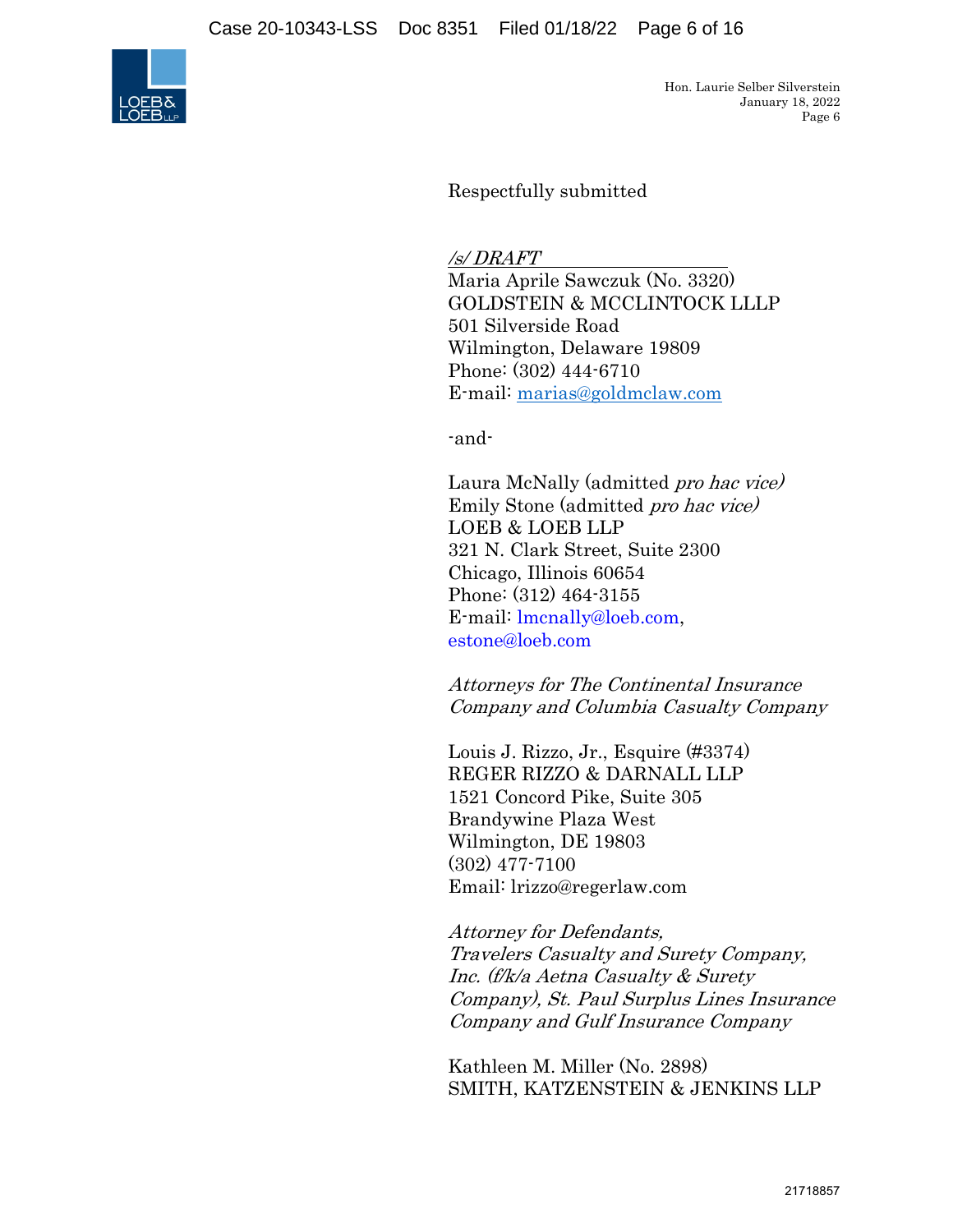Case 20-10343-LSS Doc 8351 Filed 01/18/22 Page 6 of 16



Hon. Laurie Selber Silverstein January 18, 2022 Page 6

Respectfully submitted

/s/ DRAFT

Maria Aprile Sawczuk (No. 3320) GOLDSTEIN & MCCLINTOCK LLLP 501 Silverside Road Wilmington, Delaware 19809 Phone: (302) 444-6710 E-mail: marias@goldmclaw.com

-and-

Laura McNally (admitted pro hac vice) Emily Stone (admitted pro hac vice) LOEB & LOEB LLP 321 N. Clark Street, Suite 2300 Chicago, Illinois 60654 Phone: (312) 464-3155 E-mail: lmcnally@loeb.com, estone@loeb.com

Attorneys for The Continental Insurance Company and Columbia Casualty Company

Louis J. Rizzo, Jr., Esquire (#3374) REGER RIZZO & DARNALL LLP 1521 Concord Pike, Suite 305 Brandywine Plaza West Wilmington, DE 19803 (302) 477-7100 Email: lrizzo@regerlaw.com

Attorney for Defendants, Travelers Casualty and Surety Company, Inc. (f/k/a Aetna Casualty & Surety Company), St. Paul Surplus Lines Insurance Company and Gulf Insurance Company

Kathleen M. Miller (No. 2898) SMITH, KATZENSTEIN & JENKINS LLP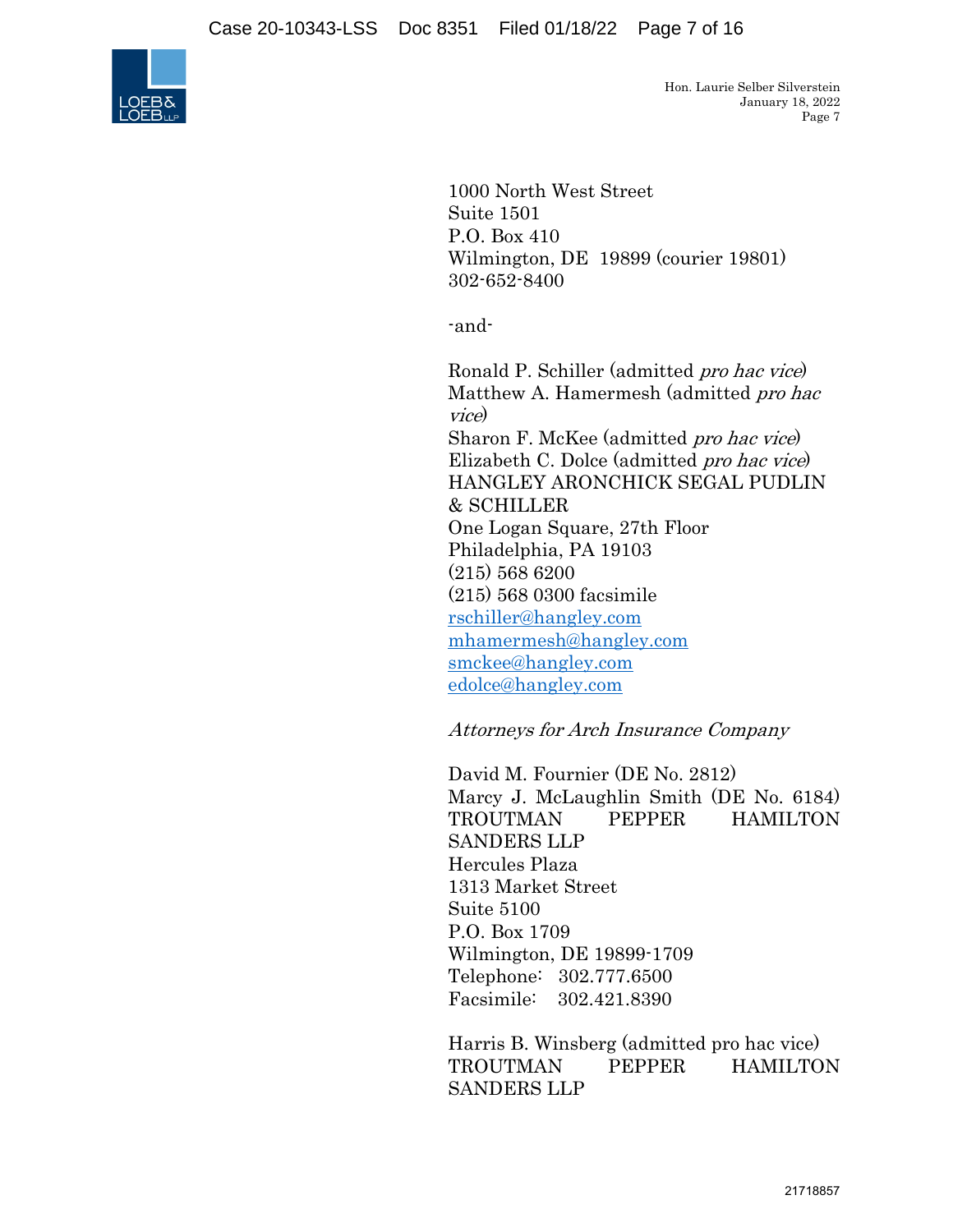

1000 North West Street Suite 1501 P.O. Box 410 Wilmington, DE 19899 (courier 19801) 302-652-8400

-and-

Ronald P. Schiller (admitted pro hac vice) Matthew A. Hamermesh (admitted pro hac vice) Sharon F. McKee (admitted pro hac vice) Elizabeth C. Dolce (admitted pro hac vice) HANGLEY ARONCHICK SEGAL PUDLIN & SCHILLER One Logan Square, 27th Floor Philadelphia, PA 19103 (215) 568 6200 (215) 568 0300 facsimile rschiller@hangley.com mhamermesh@hangley.com smckee@hangley.com edolce@hangley.com

## Attorneys for Arch Insurance Company

David M. Fournier (DE No. 2812) Marcy J. McLaughlin Smith (DE No. 6184) TROUTMAN PEPPER HAMILTON SANDERS LLP Hercules Plaza 1313 Market Street Suite 5100 P.O. Box 1709 Wilmington, DE 19899-1709 Telephone: 302.777.6500 Facsimile: 302.421.8390

Harris B. Winsberg (admitted pro hac vice) TROUTMAN PEPPER HAMILTON SANDERS LLP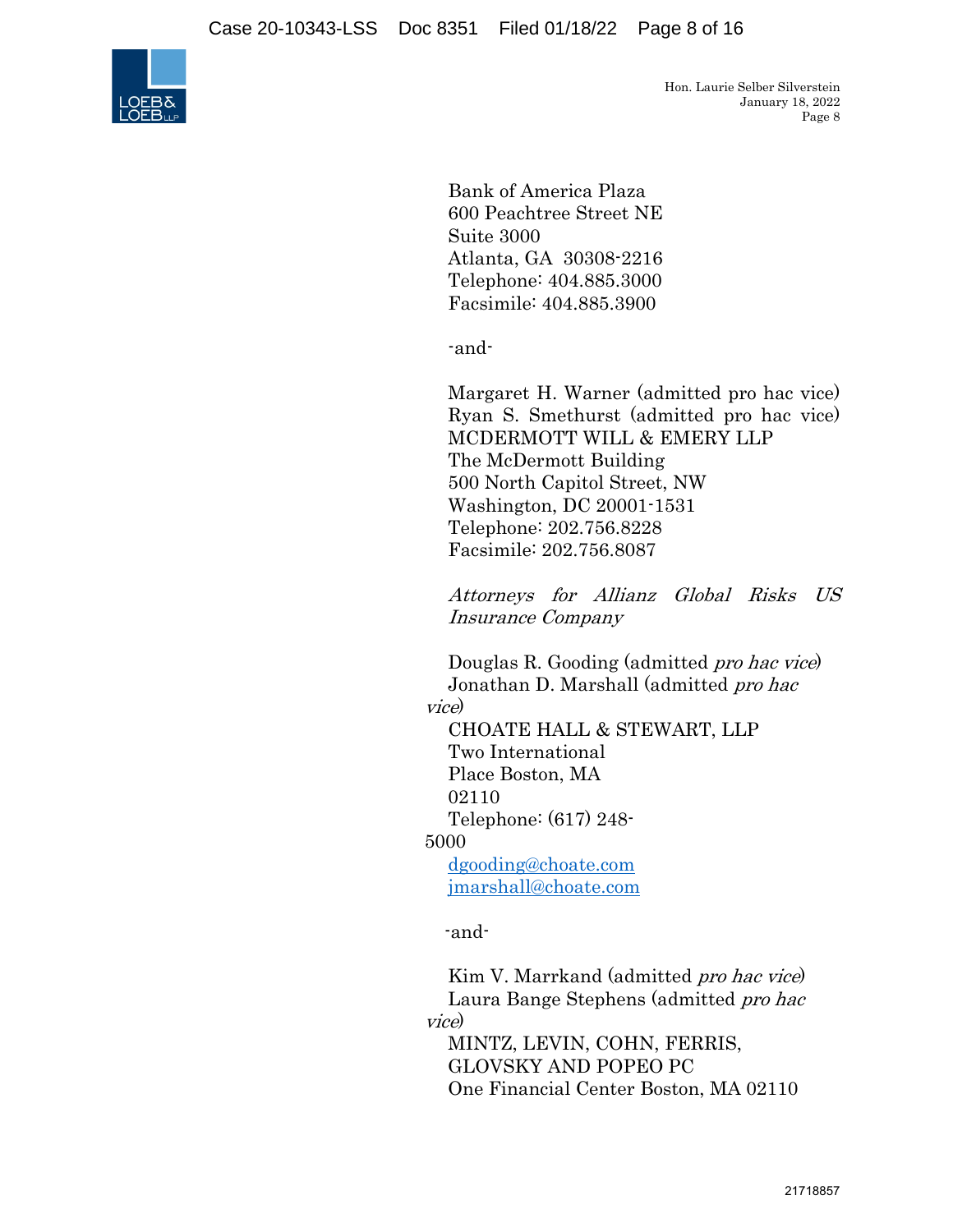

Bank of America Plaza 600 Peachtree Street NE Suite 3000 Atlanta, GA 30308-2216 Telephone: 404.885.3000 Facsimile: 404.885.3900

-and-

Margaret H. Warner (admitted pro hac vice) Ryan S. Smethurst (admitted pro hac vice) MCDERMOTT WILL & EMERY LLP The McDermott Building 500 North Capitol Street, NW Washington, DC 20001-1531 Telephone: 202.756.8228 Facsimile: 202.756.8087

Attorneys for Allianz Global Risks US Insurance Company

Douglas R. Gooding (admitted pro hac vice) Jonathan D. Marshall (admitted pro hac

vice)

CHOATE HALL & STEWART, LLP Two International Place Boston, MA 02110 Telephone: (617) 248- 5000 dgooding@choate.com jmarshall@choate.com

-and-

Kim V. Marrkand (admitted *pro hac vice*) Laura Bange Stephens (admitted pro hac vice)

MINTZ, LEVIN, COHN, FERRIS, GLOVSKY AND POPEO PC One Financial Center Boston, MA 02110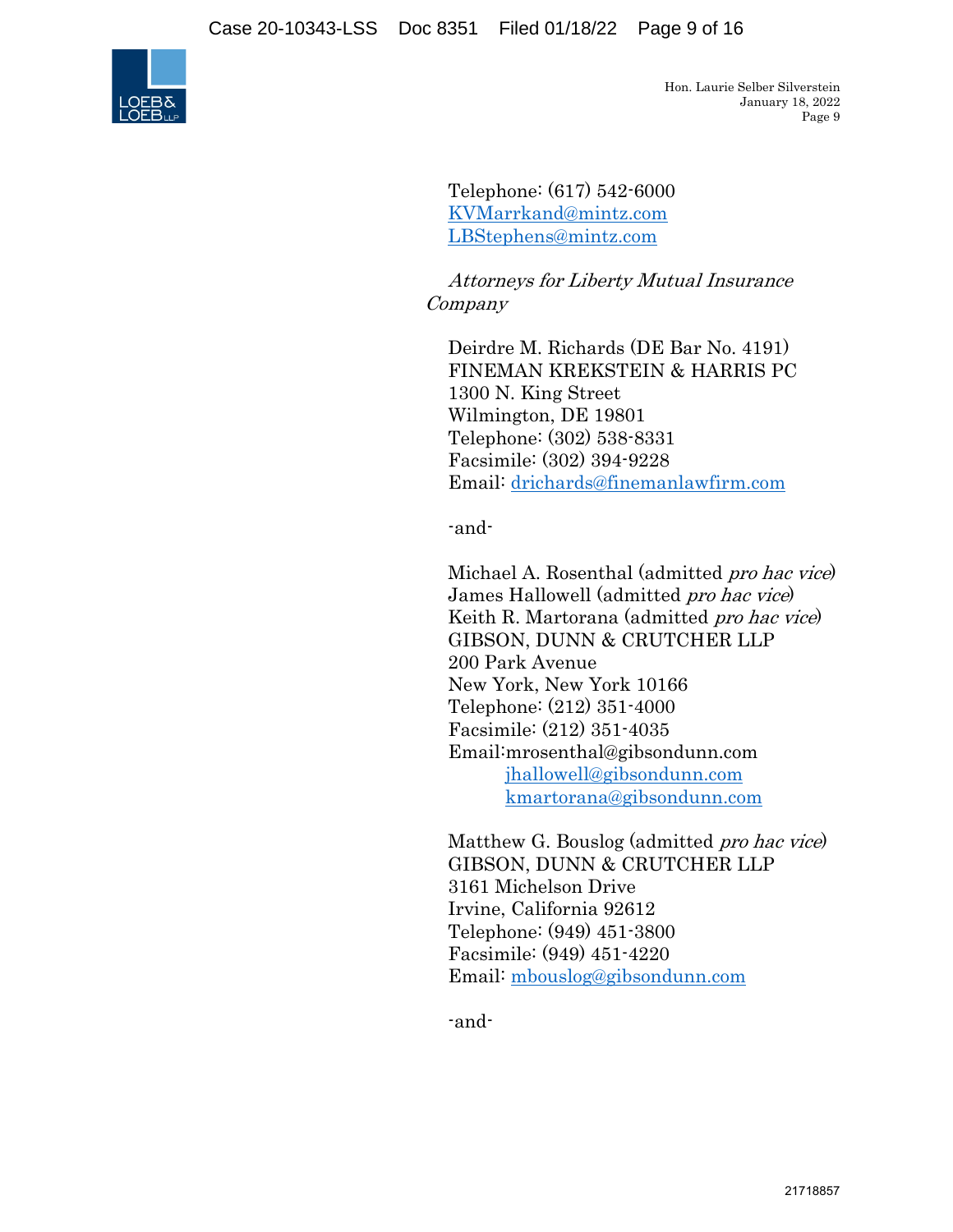

Telephone: (617) 542-6000 KVMarrkand@mintz.com LBStephens@mintz.com

Attorneys for Liberty Mutual Insurance Company

Deirdre M. Richards (DE Bar No. 4191) FINEMAN KREKSTEIN & HARRIS PC 1300 N. King Street Wilmington, DE 19801 Telephone: (302) 538-8331 Facsimile: (302) 394-9228 Email: drichards@finemanlawfirm.com

-and-

Michael A. Rosenthal (admitted pro hac vice) James Hallowell (admitted pro hac vice) Keith R. Martorana (admitted pro hac vice) GIBSON, DUNN & CRUTCHER LLP 200 Park Avenue New York, New York 10166 Telephone: (212) 351-4000 Facsimile: (212) 351-4035 Email:mrosenthal@gibsondunn.com jhallowell@gibsondunn.com kmartorana@gibsondunn.com

Matthew G. Bouslog (admitted pro hac vice) GIBSON, DUNN & CRUTCHER LLP 3161 Michelson Drive Irvine, California 92612 Telephone: (949) 451-3800 Facsimile: (949) 451-4220 Email: mbouslog@gibsondunn.com

-and-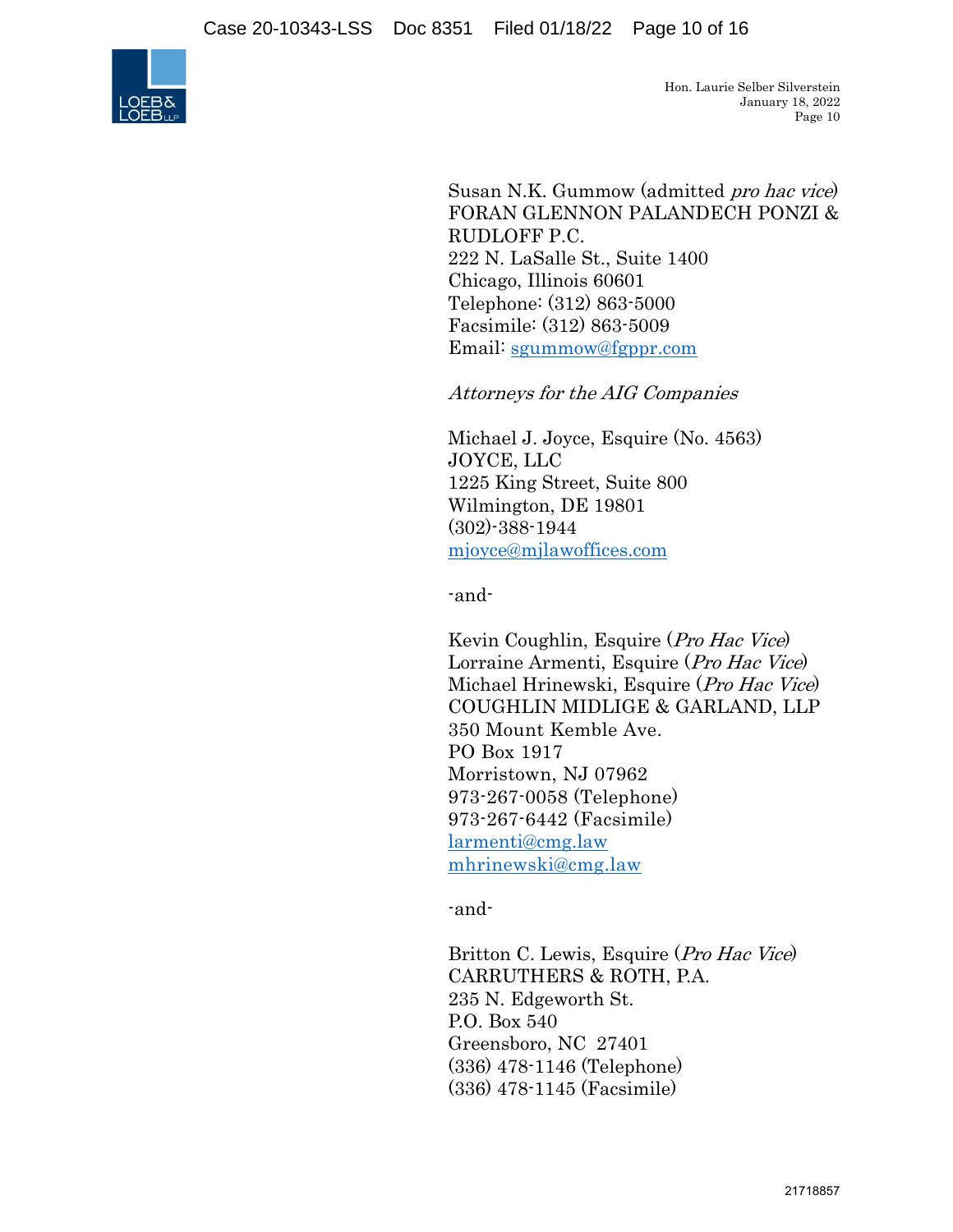

Susan N.K. Gummow (admitted pro hac vice) FORAN GLENNON PALANDECH PONZI & RUDLOFF P.C. 222 N. LaSalle St., Suite 1400 Chicago, Illinois 60601 Telephone: (312) 863-5000 Facsimile: (312) 863-5009 Email: sgummow@fgppr.com

Attorneys for the AIG Companies

Michael J. Joyce, Esquire (No. 4563) JOYCE, LLC 1225 King Street, Suite 800 Wilmington, DE 19801 (302)-388-1944 mjoyce@mjlawoffices.com

-and-

 Kevin Coughlin, Esquire (Pro Hac Vice) Lorraine Armenti, Esquire (Pro Hac Vice) Michael Hrinewski, Esquire (Pro Hac Vice) COUGHLIN MIDLIGE & GARLAND, LLP 350 Mount Kemble Ave. PO Box 1917 Morristown, NJ 07962 973-267-0058 (Telephone) 973-267-6442 (Facsimile) larmenti@cmg.law mhrinewski@cmg.law

-and-

Britton C. Lewis, Esquire (Pro Hac Vice) CARRUTHERS & ROTH, P.A. 235 N. Edgeworth St. P.O. Box 540 Greensboro, NC 27401 (336) 478-1146 (Telephone) (336) 478-1145 (Facsimile)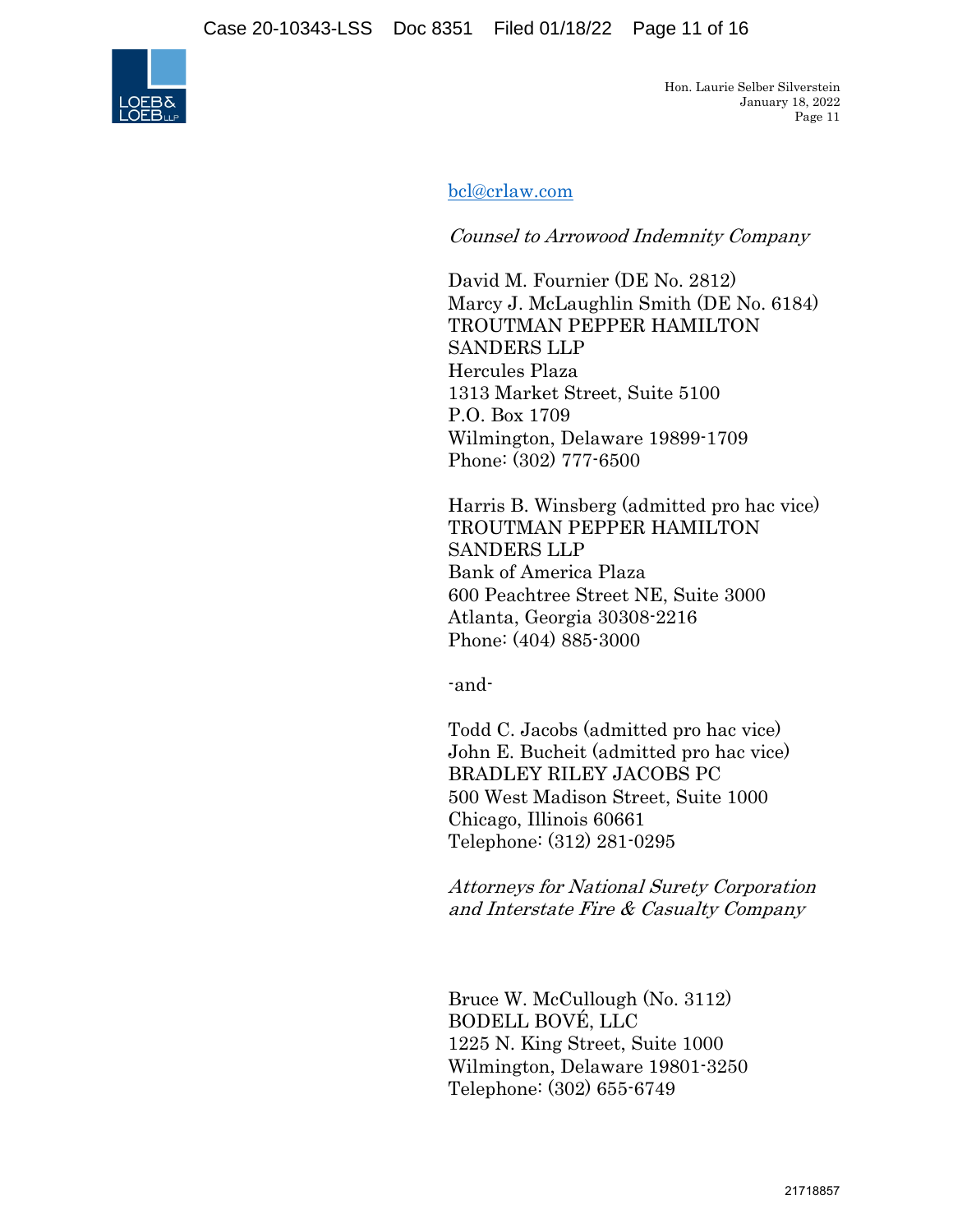Case 20-10343-LSS Doc 8351 Filed 01/18/22 Page 11 of 16



Hon. Laurie Selber Silverstein January 18, 2022 Page 11

bcl@crlaw.com

Counsel to Arrowood Indemnity Company

David M. Fournier (DE No. 2812) Marcy J. McLaughlin Smith (DE No. 6184) TROUTMAN PEPPER HAMILTON SANDERS LLP Hercules Plaza 1313 Market Street, Suite 5100 P.O. Box 1709 Wilmington, Delaware 19899-1709 Phone: (302) 777-6500

Harris B. Winsberg (admitted pro hac vice) TROUTMAN PEPPER HAMILTON SANDERS LLP Bank of America Plaza 600 Peachtree Street NE, Suite 3000 Atlanta, Georgia 30308-2216 Phone: (404) 885-3000

-and-

Todd C. Jacobs (admitted pro hac vice) John E. Bucheit (admitted pro hac vice) BRADLEY RILEY JACOBS PC 500 West Madison Street, Suite 1000 Chicago, Illinois 60661 Telephone: (312) 281-0295

Attorneys for National Surety Corporation and Interstate Fire & Casualty Company

Bruce W. McCullough (No. 3112) BODELL BOVÉ, LLC 1225 N. King Street, Suite 1000 Wilmington, Delaware 19801-3250 Telephone: (302) 655-6749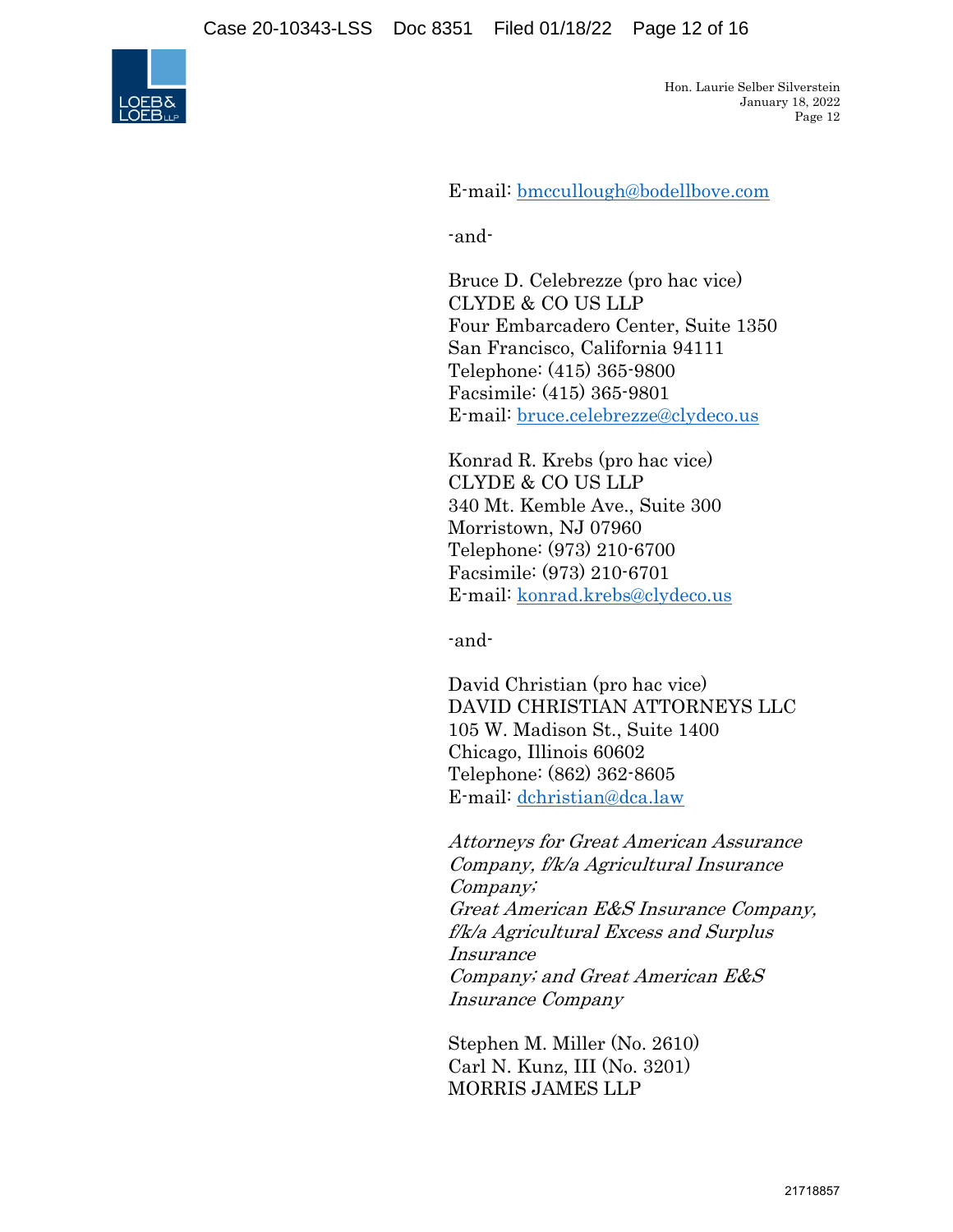

E-mail: bmccullough@bodellbove.com

-and-

Bruce D. Celebrezze (pro hac vice) CLYDE & CO US LLP Four Embarcadero Center, Suite 1350 San Francisco, California 94111 Telephone: (415) 365-9800 Facsimile: (415) 365-9801 E-mail: bruce.celebrezze@clydeco.us

Konrad R. Krebs (pro hac vice) CLYDE & CO US LLP 340 Mt. Kemble Ave., Suite 300 Morristown, NJ 07960 Telephone: (973) 210-6700 Facsimile: (973) 210-6701 E-mail: konrad.krebs@clydeco.us

-and-

David Christian (pro hac vice) DAVID CHRISTIAN ATTORNEYS LLC 105 W. Madison St., Suite 1400 Chicago, Illinois 60602 Telephone: (862) 362-8605 E-mail: dchristian@dca.law

Attorneys for Great American Assurance Company, f/k/a Agricultural Insurance Company; Great American E&S Insurance Company, f/k/a Agricultural Excess and Surplus Insurance Company; and Great American E&S Insurance Company

Stephen M. Miller (No. 2610) Carl N. Kunz, III (No. 3201) MORRIS JAMES LLP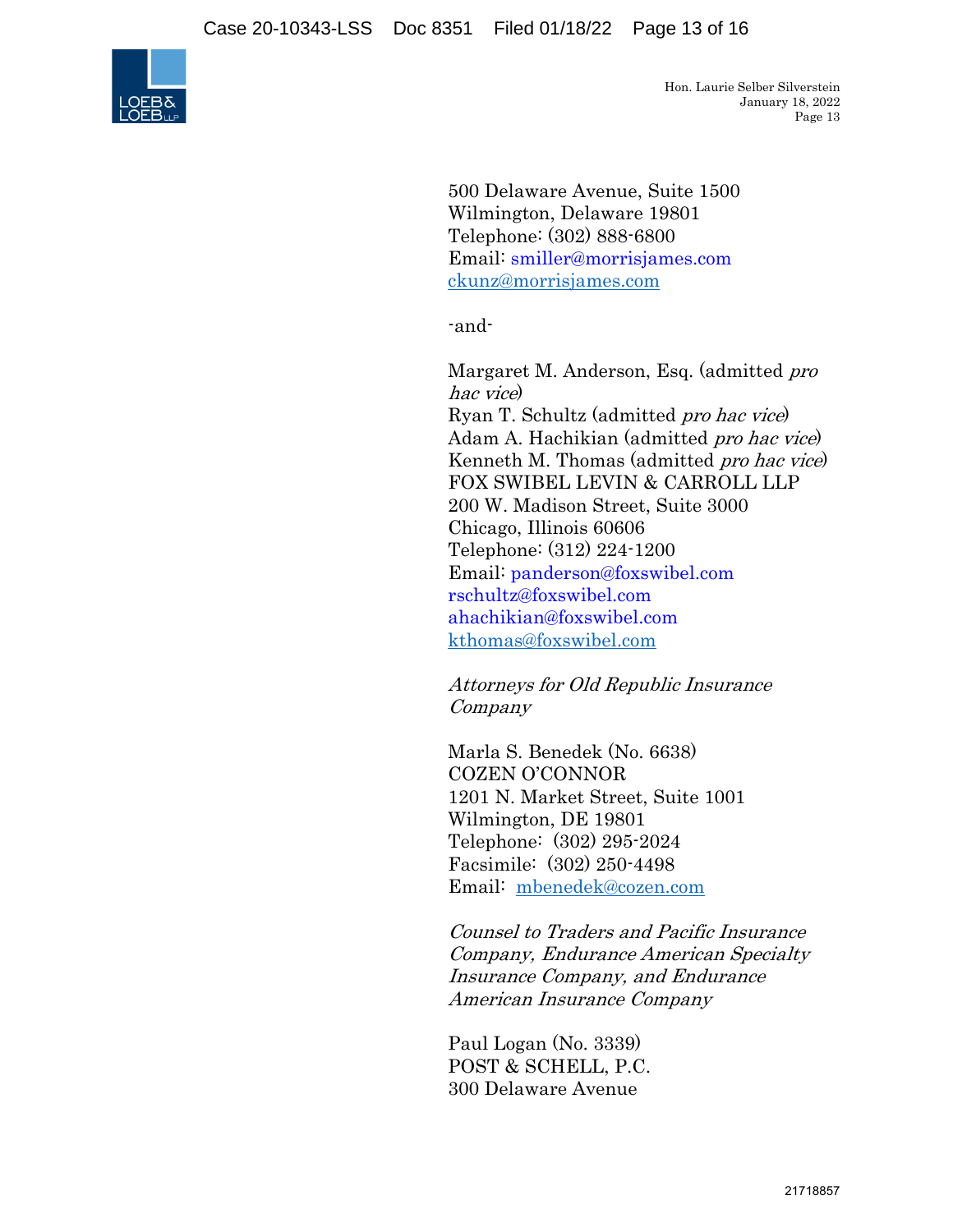

500 Delaware Avenue, Suite 1500 Wilmington, Delaware 19801 Telephone: (302) 888-6800 Email: smiller@morrisjames.com ckunz@morrisjames.com

-and-

Margaret M. Anderson, Esq. (admitted *pro* hac vice) Ryan T. Schultz (admitted pro hac vice) Adam A. Hachikian (admitted pro hac vice) Kenneth M. Thomas (admitted pro hac vice) FOX SWIBEL LEVIN & CARROLL LLP 200 W. Madison Street, Suite 3000 Chicago, Illinois 60606 Telephone: (312) 224-1200 Email: panderson@foxswibel.com rschultz@foxswibel.com ahachikian@foxswibel.com kthomas@foxswibel.com

Attorneys for Old Republic Insurance Company

Marla S. Benedek (No. 6638) COZEN O'CONNOR 1201 N. Market Street, Suite 1001 Wilmington, DE 19801 Telephone: (302) 295-2024 Facsimile: (302) 250-4498 Email: mbenedek@cozen.com

Counsel to Traders and Pacific Insurance Company, Endurance American Specialty Insurance Company, and Endurance American Insurance Company

Paul Logan (No. 3339) POST & SCHELL, P.C. 300 Delaware Avenue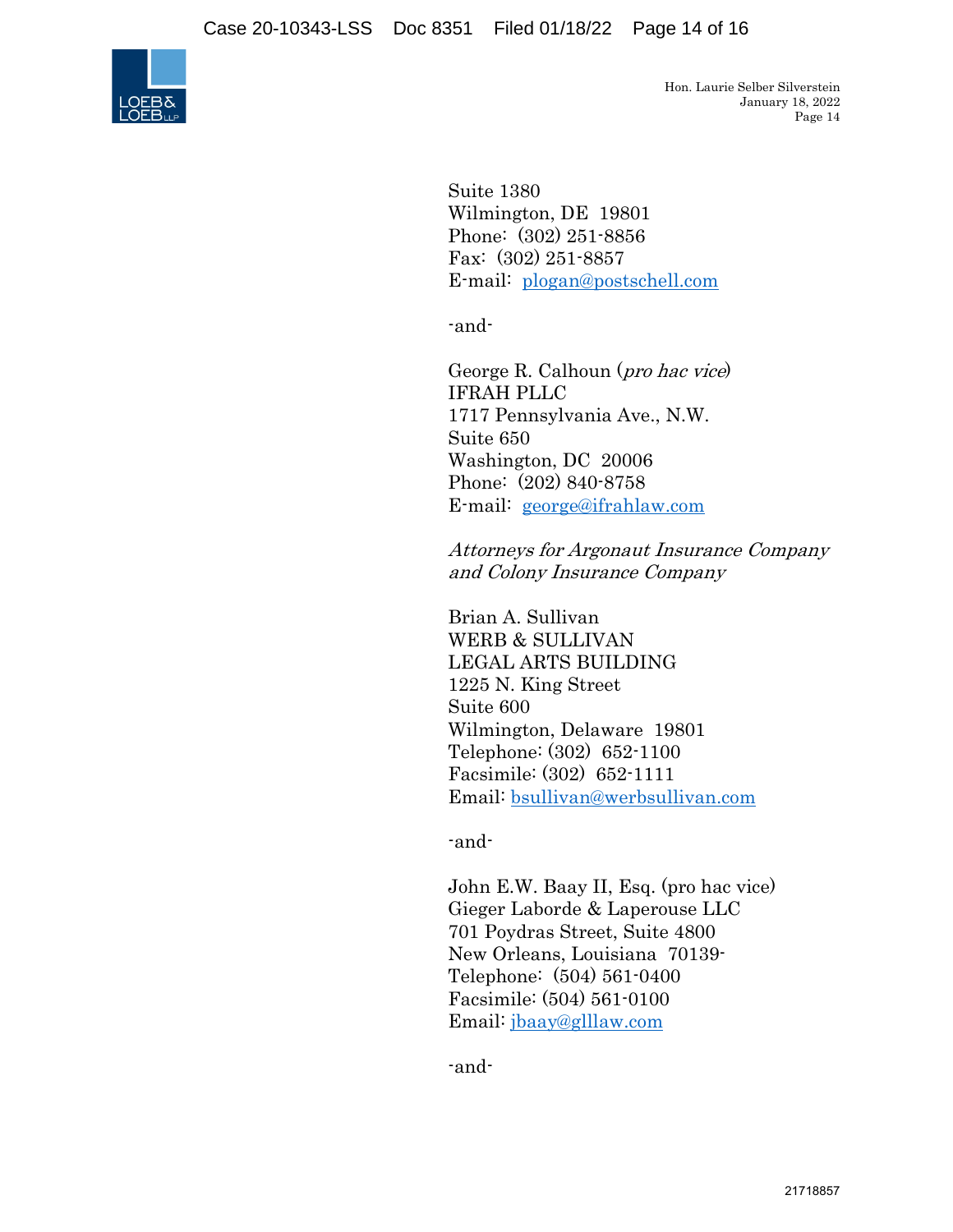

Suite 1380 Wilmington, DE 19801 Phone: (302) 251-8856 Fax: (302) 251-8857 E-mail: plogan@postschell.com

-and-

George R. Calhoun (pro hac vice) IFRAH PLLC 1717 Pennsylvania Ave., N.W. Suite 650 Washington, DC 20006 Phone: (202) 840-8758 E-mail: george@ifrahlaw.com

Attorneys for Argonaut Insurance Company and Colony Insurance Company

Brian A. Sullivan WERB & SULLIVAN LEGAL ARTS BUILDING 1225 N. King Street Suite 600 Wilmington, Delaware 19801 Telephone: (302) 652-1100 Facsimile: (302) 652-1111 Email: bsullivan@werbsullivan.com

-and-

John E.W. Baay II, Esq. (pro hac vice) Gieger Laborde & Laperouse LLC 701 Poydras Street, Suite 4800 New Orleans, Louisiana 70139- Telephone: (504) 561-0400 Facsimile: (504) 561-0100 Email: jbaay@glllaw.com

-and-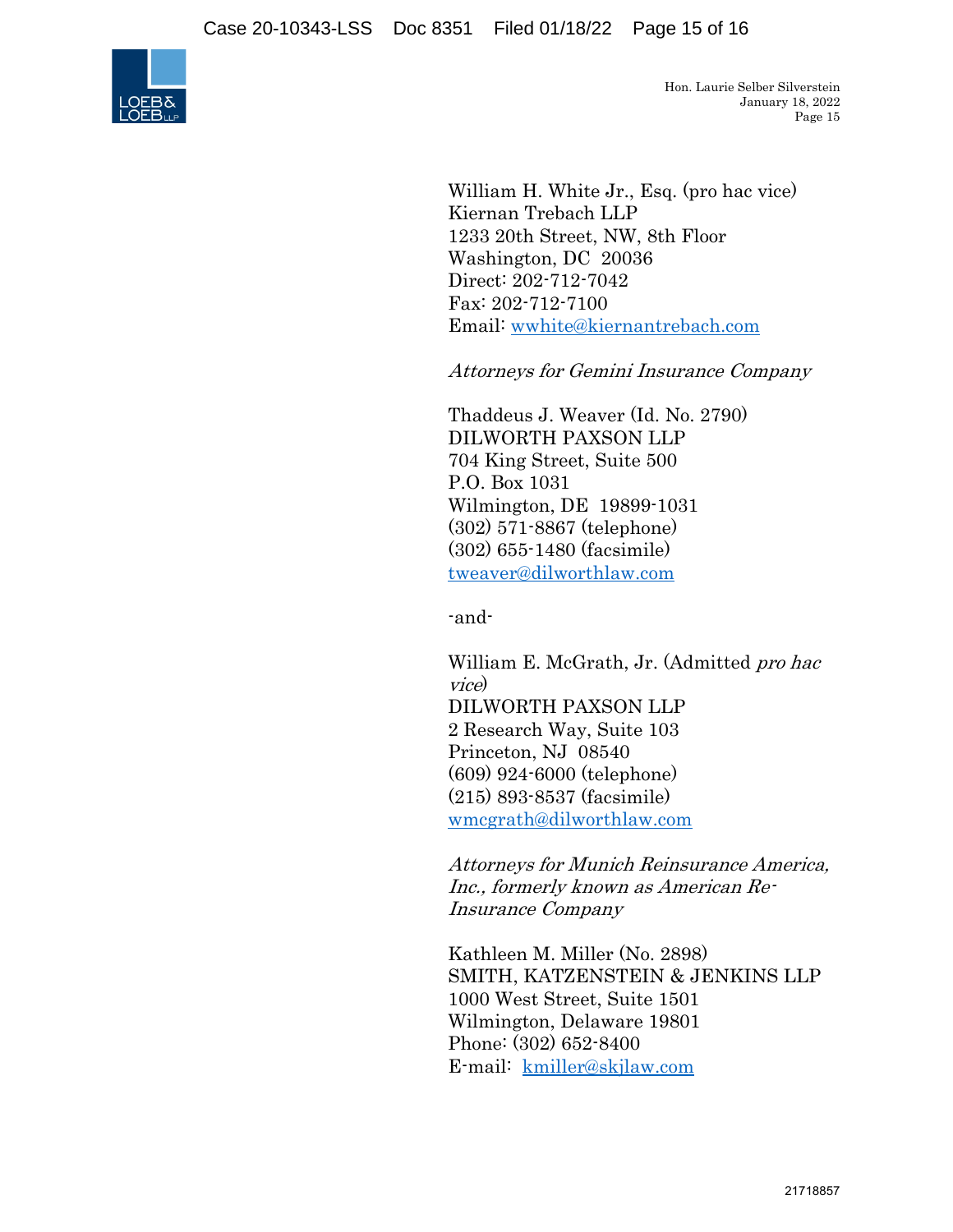

William H. White Jr., Esq. (pro hac vice) Kiernan Trebach LLP 1233 20th Street, NW, 8th Floor Washington, DC 20036 Direct: 202-712-7042 Fax: 202-712-7100 Email: wwhite@kiernantrebach.com

Attorneys for Gemini Insurance Company

Thaddeus J. Weaver (Id. No. 2790) DILWORTH PAXSON LLP 704 King Street, Suite 500 P.O. Box 1031 Wilmington, DE 19899-1031 (302) 571-8867 (telephone) (302) 655-1480 (facsimile) tweaver@dilworthlaw.com

-and-

William E. McGrath, Jr. (Admitted *pro hac* vice) DILWORTH PAXSON LLP 2 Research Way, Suite 103 Princeton, NJ 08540 (609) 924-6000 (telephone) (215) 893-8537 (facsimile) wmcgrath@dilworthlaw.com

Attorneys for Munich Reinsurance America, Inc., formerly known as American Re-Insurance Company

Kathleen M. Miller (No. 2898) SMITH, KATZENSTEIN & JENKINS LLP 1000 West Street, Suite 1501 Wilmington, Delaware 19801 Phone: (302) 652-8400 E-mail: kmiller@skjlaw.com